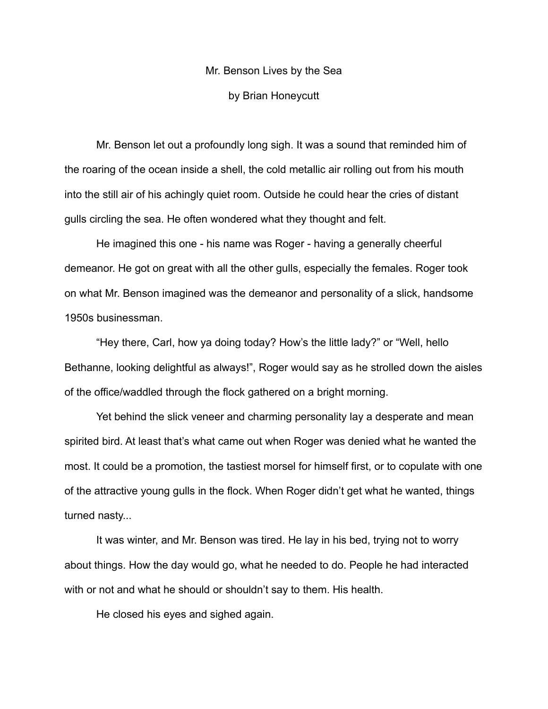# Mr. Benson Lives by the Sea by Brian Honeycutt

Mr. Benson let out a profoundly long sigh. It was a sound that reminded him of the roaring of the ocean inside a shell, the cold metallic air rolling out from his mouth into the still air of his achingly quiet room. Outside he could hear the cries of distant gulls circling the sea. He often wondered what they thought and felt.

He imagined this one - his name was Roger - having a generally cheerful demeanor. He got on great with all the other gulls, especially the females. Roger took on what Mr. Benson imagined was the demeanor and personality of a slick, handsome 1950s businessman.

"Hey there, Carl, how ya doing today? How's the little lady?" or "Well, hello Bethanne, looking delightful as always!", Roger would say as he strolled down the aisles of the office/waddled through the flock gathered on a bright morning.

Yet behind the slick veneer and charming personality lay a desperate and mean spirited bird. At least that's what came out when Roger was denied what he wanted the most. It could be a promotion, the tastiest morsel for himself first, or to copulate with one of the attractive young gulls in the flock. When Roger didn't get what he wanted, things turned nasty...

It was winter, and Mr. Benson was tired. He lay in his bed, trying not to worry about things. How the day would go, what he needed to do. People he had interacted with or not and what he should or shouldn't say to them. His health.

He closed his eyes and sighed again.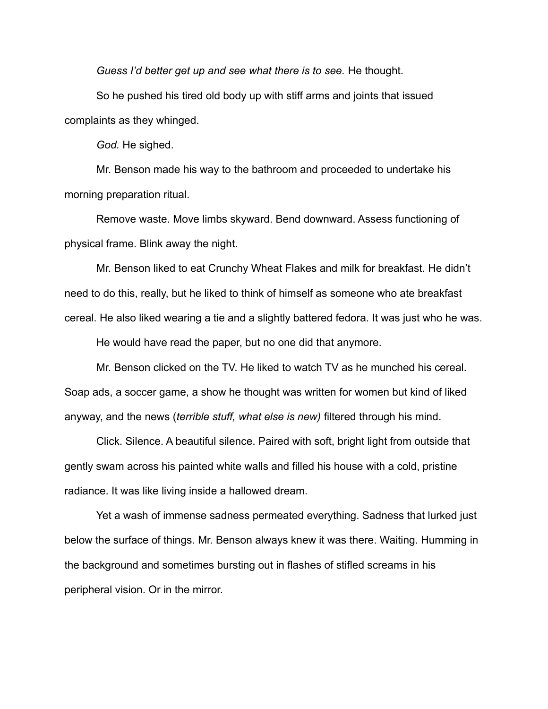*Guess I'd better get up and see what there is to see.* He thought.

So he pushed his tired old body up with stiff arms and joints that issued complaints as they whinged.

*God.* He sighed.

Mr. Benson made his way to the bathroom and proceeded to undertake his morning preparation ritual.

Remove waste. Move limbs skyward. Bend downward. Assess functioning of physical frame. Blink away the night.

Mr. Benson liked to eat Crunchy Wheat Flakes and milk for breakfast. He didn't need to do this, really, but he liked to think of himself as someone who ate breakfast cereal. He also liked wearing a tie and a slightly battered fedora. It was just who he was.

He would have read the paper, but no one did that anymore.

Mr. Benson clicked on the TV. He liked to watch TV as he munched his cereal. Soap ads, a soccer game, a show he thought was written for women but kind of liked anyway, and the news (*terrible stuff, what else is new)* filtered through his mind.

Click. Silence. A beautiful silence. Paired with soft, bright light from outside that gently swam across his painted white walls and filled his house with a cold, pristine radiance. It was like living inside a hallowed dream.

Yet a wash of immense sadness permeated everything. Sadness that lurked just below the surface of things. Mr. Benson always knew it was there. Waiting. Humming in the background and sometimes bursting out in flashes of stifled screams in his peripheral vision. Or in the mirror.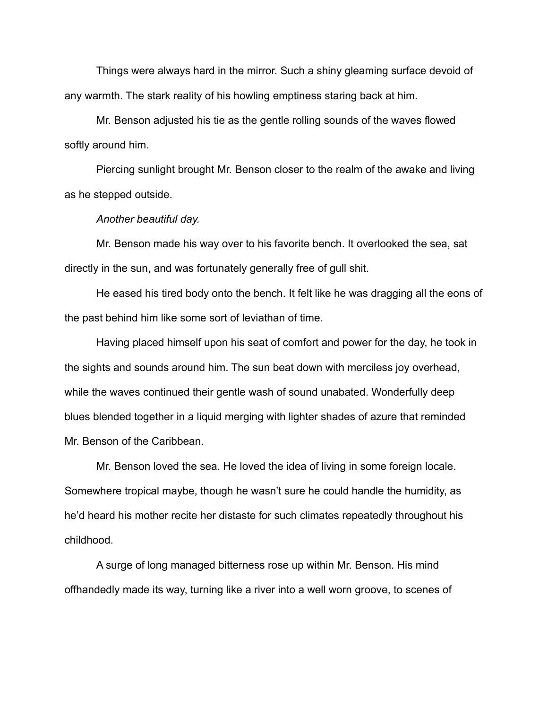Things were always hard in the mirror. Such a shiny gleaming surface devoid of any warmth. The stark reality of his howling emptiness staring back at him.

Mr. Benson adjusted his tie as the gentle rolling sounds of the waves flowed softly around him.

Piercing sunlight brought Mr. Benson closer to the realm of the awake and living as he stepped outside.

### *Another beautiful day.*

Mr. Benson made his way over to his favorite bench. It overlooked the sea, sat directly in the sun, and was fortunately generally free of gull shit.

He eased his tired body onto the bench. It felt like he was dragging all the eons of the past behind him like some sort of leviathan of time.

Having placed himself upon his seat of comfort and power for the day, he took in the sights and sounds around him. The sun beat down with merciless joy overhead, while the waves continued their gentle wash of sound unabated. Wonderfully deep blues blended together in a liquid merging with lighter shades of azure that reminded Mr. Benson of the Caribbean.

Mr. Benson loved the sea. He loved the idea of living in some foreign locale. Somewhere tropical maybe, though he wasn't sure he could handle the humidity, as he'd heard his mother recite her distaste for such climates repeatedly throughout his childhood.

A surge of long managed bitterness rose up within Mr. Benson. His mind offhandedly made its way, turning like a river into a well worn groove, to scenes of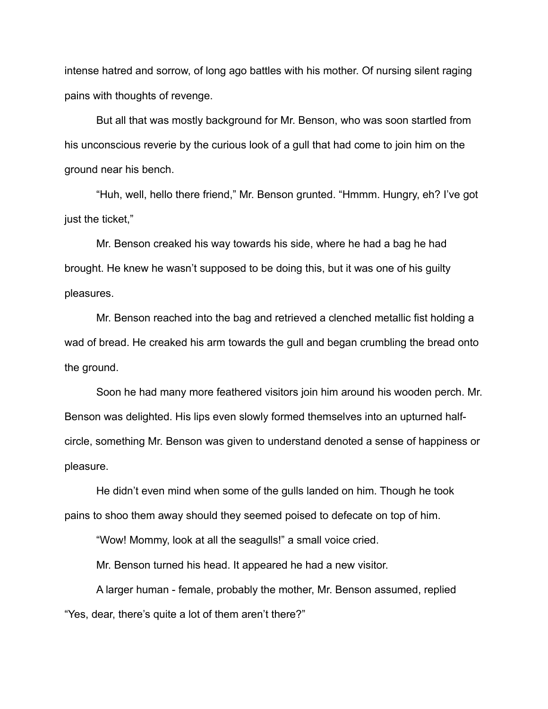intense hatred and sorrow, of long ago battles with his mother. Of nursing silent raging pains with thoughts of revenge.

But all that was mostly background for Mr. Benson, who was soon startled from his unconscious reverie by the curious look of a gull that had come to join him on the ground near his bench.

"Huh, well, hello there friend," Mr. Benson grunted. "Hmmm. Hungry, eh? I've got just the ticket,"

Mr. Benson creaked his way towards his side, where he had a bag he had brought. He knew he wasn't supposed to be doing this, but it was one of his guilty pleasures.

Mr. Benson reached into the bag and retrieved a clenched metallic fist holding a wad of bread. He creaked his arm towards the gull and began crumbling the bread onto the ground.

Soon he had many more feathered visitors join him around his wooden perch. Mr. Benson was delighted. His lips even slowly formed themselves into an upturned halfcircle, something Mr. Benson was given to understand denoted a sense of happiness or pleasure.

He didn't even mind when some of the gulls landed on him. Though he took pains to shoo them away should they seemed poised to defecate on top of him.

"Wow! Mommy, look at all the seagulls!" a small voice cried.

Mr. Benson turned his head. It appeared he had a new visitor.

A larger human - female, probably the mother, Mr. Benson assumed, replied "Yes, dear, there's quite a lot of them aren't there?"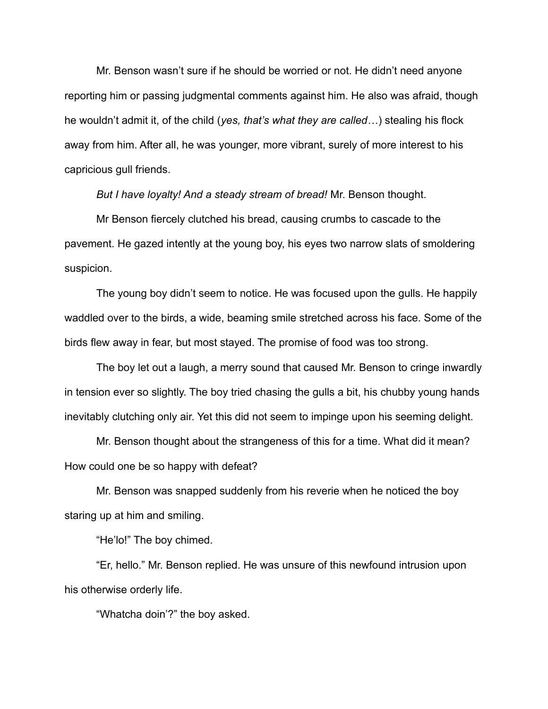Mr. Benson wasn't sure if he should be worried or not. He didn't need anyone reporting him or passing judgmental comments against him. He also was afraid, though he wouldn't admit it, of the child (*yes, that's what they are called…*) stealing his flock away from him. After all, he was younger, more vibrant, surely of more interest to his capricious gull friends.

*But I have loyalty! And a steady stream of bread!* Mr. Benson thought.

Mr Benson fiercely clutched his bread, causing crumbs to cascade to the pavement. He gazed intently at the young boy, his eyes two narrow slats of smoldering suspicion.

The young boy didn't seem to notice. He was focused upon the gulls. He happily waddled over to the birds, a wide, beaming smile stretched across his face. Some of the birds flew away in fear, but most stayed. The promise of food was too strong.

The boy let out a laugh, a merry sound that caused Mr. Benson to cringe inwardly in tension ever so slightly. The boy tried chasing the gulls a bit, his chubby young hands inevitably clutching only air. Yet this did not seem to impinge upon his seeming delight.

Mr. Benson thought about the strangeness of this for a time. What did it mean? How could one be so happy with defeat?

Mr. Benson was snapped suddenly from his reverie when he noticed the boy staring up at him and smiling.

"He'lo!" The boy chimed.

"Er, hello." Mr. Benson replied. He was unsure of this newfound intrusion upon his otherwise orderly life.

"Whatcha doin'?" the boy asked.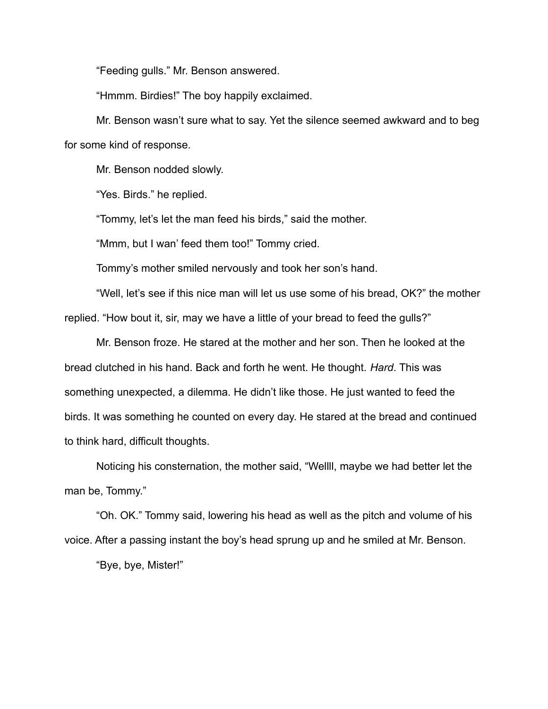"Feeding gulls." Mr. Benson answered.

"Hmmm. Birdies!" The boy happily exclaimed.

Mr. Benson wasn't sure what to say. Yet the silence seemed awkward and to beg for some kind of response.

Mr. Benson nodded slowly.

"Yes. Birds." he replied.

"Tommy, let's let the man feed his birds," said the mother.

"Mmm, but I wan' feed them too!" Tommy cried.

Tommy's mother smiled nervously and took her son's hand.

"Well, let's see if this nice man will let us use some of his bread, OK?" the mother replied. "How bout it, sir, may we have a little of your bread to feed the gulls?"

Mr. Benson froze. He stared at the mother and her son. Then he looked at the bread clutched in his hand. Back and forth he went. He thought. *Hard*. This was something unexpected, a dilemma. He didn't like those. He just wanted to feed the birds. It was something he counted on every day. He stared at the bread and continued to think hard, difficult thoughts.

Noticing his consternation, the mother said, "Wellll, maybe we had better let the man be, Tommy."

"Oh. OK." Tommy said, lowering his head as well as the pitch and volume of his voice. After a passing instant the boy's head sprung up and he smiled at Mr. Benson.

"Bye, bye, Mister!"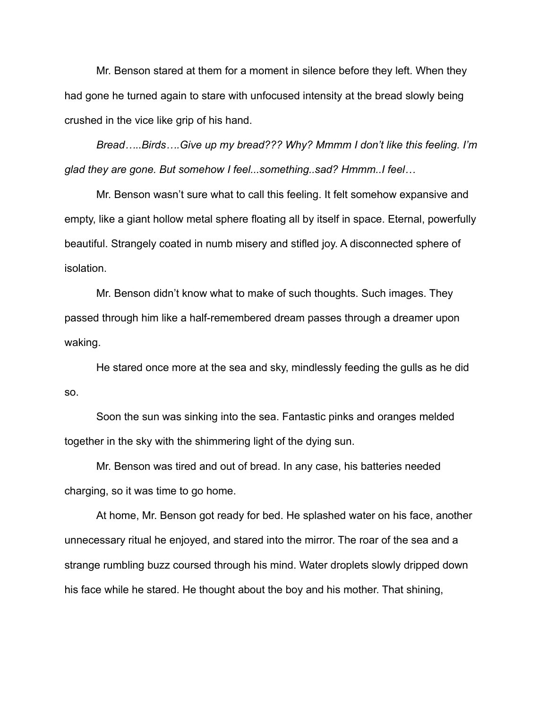Mr. Benson stared at them for a moment in silence before they left. When they had gone he turned again to stare with unfocused intensity at the bread slowly being crushed in the vice like grip of his hand.

*Bread…..Birds….Give up my bread??? Why? Mmmm I don't like this feeling. I'm glad they are gone. But somehow I feel...something..sad? Hmmm..I feel…*

Mr. Benson wasn't sure what to call this feeling. It felt somehow expansive and empty, like a giant hollow metal sphere floating all by itself in space. Eternal, powerfully beautiful. Strangely coated in numb misery and stifled joy. A disconnected sphere of isolation.

Mr. Benson didn't know what to make of such thoughts. Such images. They passed through him like a half-remembered dream passes through a dreamer upon waking.

He stared once more at the sea and sky, mindlessly feeding the gulls as he did so.

Soon the sun was sinking into the sea. Fantastic pinks and oranges melded together in the sky with the shimmering light of the dying sun.

Mr. Benson was tired and out of bread. In any case, his batteries needed charging, so it was time to go home.

At home, Mr. Benson got ready for bed. He splashed water on his face, another unnecessary ritual he enjoyed, and stared into the mirror. The roar of the sea and a strange rumbling buzz coursed through his mind. Water droplets slowly dripped down his face while he stared. He thought about the boy and his mother. That shining,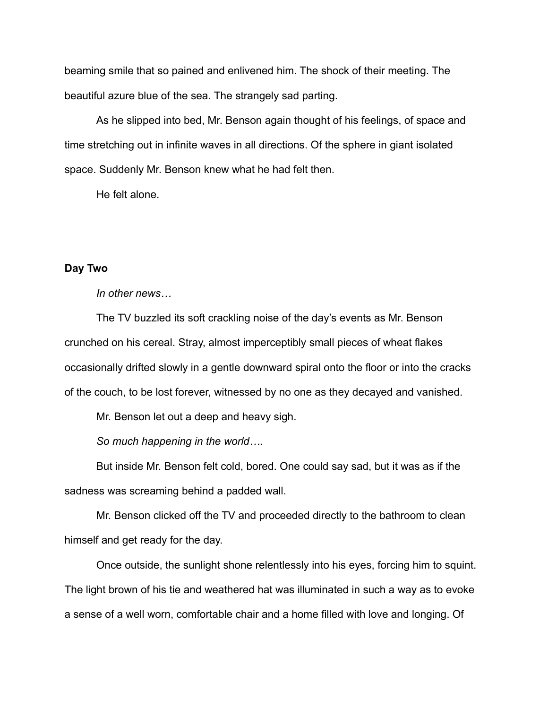beaming smile that so pained and enlivened him. The shock of their meeting. The beautiful azure blue of the sea. The strangely sad parting.

As he slipped into bed, Mr. Benson again thought of his feelings, of space and time stretching out in infinite waves in all directions. Of the sphere in giant isolated space. Suddenly Mr. Benson knew what he had felt then.

He felt alone.

# **Day Two**

*In other news…*

The TV buzzled its soft crackling noise of the day's events as Mr. Benson crunched on his cereal. Stray, almost imperceptibly small pieces of wheat flakes occasionally drifted slowly in a gentle downward spiral onto the floor or into the cracks of the couch, to be lost forever, witnessed by no one as they decayed and vanished.

Mr. Benson let out a deep and heavy sigh.

*So much happening in the world….*

But inside Mr. Benson felt cold, bored. One could say sad, but it was as if the sadness was screaming behind a padded wall.

Mr. Benson clicked off the TV and proceeded directly to the bathroom to clean himself and get ready for the day.

Once outside, the sunlight shone relentlessly into his eyes, forcing him to squint. The light brown of his tie and weathered hat was illuminated in such a way as to evoke a sense of a well worn, comfortable chair and a home filled with love and longing. Of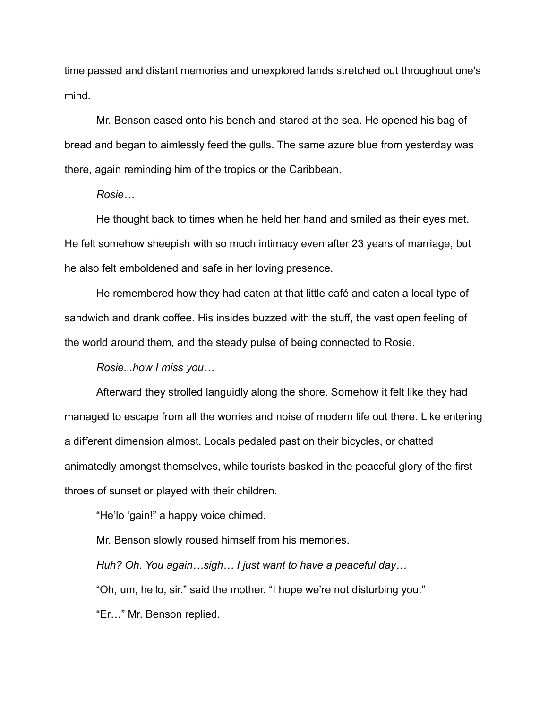time passed and distant memories and unexplored lands stretched out throughout one's mind.

Mr. Benson eased onto his bench and stared at the sea. He opened his bag of bread and began to aimlessly feed the gulls. The same azure blue from yesterday was there, again reminding him of the tropics or the Caribbean.

*Rosie…*

He thought back to times when he held her hand and smiled as their eyes met. He felt somehow sheepish with so much intimacy even after 23 years of marriage, but he also felt emboldened and safe in her loving presence.

He remembered how they had eaten at that little café and eaten a local type of sandwich and drank coffee. His insides buzzed with the stuff, the vast open feeling of the world around them, and the steady pulse of being connected to Rosie.

*Rosie...how I miss you…*

Afterward they strolled languidly along the shore. Somehow it felt like they had managed to escape from all the worries and noise of modern life out there. Like entering a different dimension almost. Locals pedaled past on their bicycles, or chatted animatedly amongst themselves, while tourists basked in the peaceful glory of the first throes of sunset or played with their children.

"He'lo 'gain!" a happy voice chimed.

Mr. Benson slowly roused himself from his memories. *Huh? Oh. You again…sigh… I just want to have a peaceful day…* "Oh, um, hello, sir." said the mother. "I hope we're not disturbing you." "Er…" Mr. Benson replied.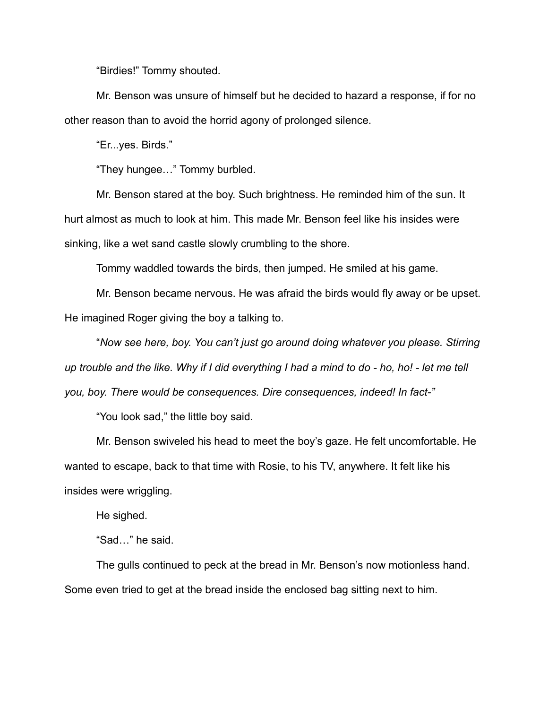"Birdies!" Tommy shouted.

Mr. Benson was unsure of himself but he decided to hazard a response, if for no other reason than to avoid the horrid agony of prolonged silence.

"Er...yes. Birds."

"They hungee…" Tommy burbled.

Mr. Benson stared at the boy. Such brightness. He reminded him of the sun. It hurt almost as much to look at him. This made Mr. Benson feel like his insides were sinking, like a wet sand castle slowly crumbling to the shore.

Tommy waddled towards the birds, then jumped. He smiled at his game.

Mr. Benson became nervous. He was afraid the birds would fly away or be upset. He imagined Roger giving the boy a talking to.

"*Now see here, boy. You can't just go around doing whatever you please. Stirring up trouble and the like. Why if I did everything I had a mind to do - ho, ho! - let me tell you, boy. There would be consequences. Dire consequences, indeed! In fact-"*

"You look sad," the little boy said.

Mr. Benson swiveled his head to meet the boy's gaze. He felt uncomfortable. He wanted to escape, back to that time with Rosie, to his TV, anywhere. It felt like his insides were wriggling.

He sighed.

"Sad…" he said.

The gulls continued to peck at the bread in Mr. Benson's now motionless hand. Some even tried to get at the bread inside the enclosed bag sitting next to him.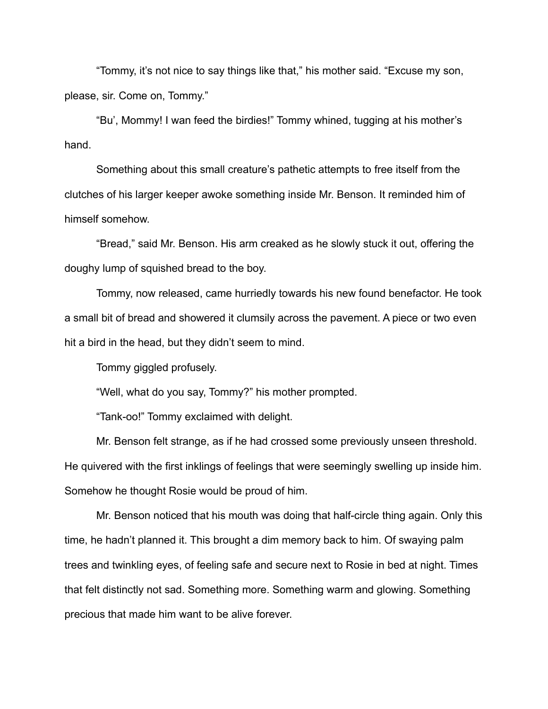"Tommy, it's not nice to say things like that," his mother said. "Excuse my son, please, sir. Come on, Tommy."

"Bu', Mommy! I wan feed the birdies!" Tommy whined, tugging at his mother's hand.

Something about this small creature's pathetic attempts to free itself from the clutches of his larger keeper awoke something inside Mr. Benson. It reminded him of himself somehow.

"Bread," said Mr. Benson. His arm creaked as he slowly stuck it out, offering the doughy lump of squished bread to the boy.

Tommy, now released, came hurriedly towards his new found benefactor. He took a small bit of bread and showered it clumsily across the pavement. A piece or two even hit a bird in the head, but they didn't seem to mind.

Tommy giggled profusely.

"Well, what do you say, Tommy?" his mother prompted.

"Tank-oo!" Tommy exclaimed with delight.

Mr. Benson felt strange, as if he had crossed some previously unseen threshold. He quivered with the first inklings of feelings that were seemingly swelling up inside him. Somehow he thought Rosie would be proud of him.

Mr. Benson noticed that his mouth was doing that half-circle thing again. Only this time, he hadn't planned it. This brought a dim memory back to him. Of swaying palm trees and twinkling eyes, of feeling safe and secure next to Rosie in bed at night. Times that felt distinctly not sad. Something more. Something warm and glowing. Something precious that made him want to be alive forever.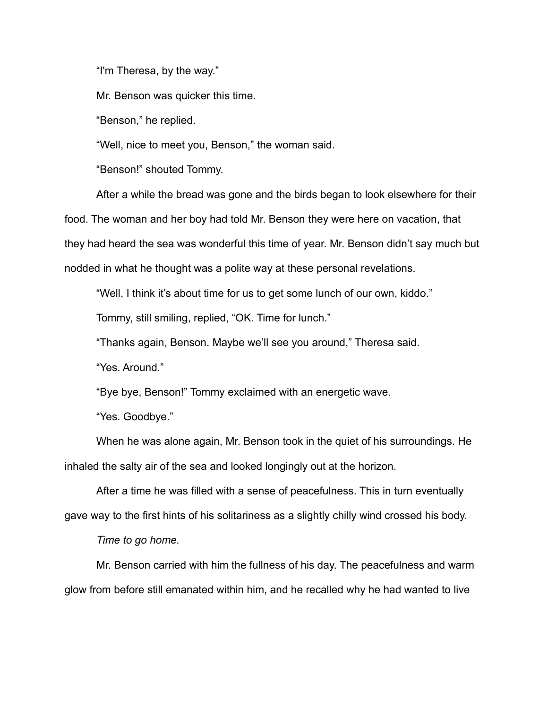"I'm Theresa, by the way."

Mr. Benson was quicker this time.

"Benson," he replied.

"Well, nice to meet you, Benson," the woman said.

"Benson!" shouted Tommy.

After a while the bread was gone and the birds began to look elsewhere for their food. The woman and her boy had told Mr. Benson they were here on vacation, that they had heard the sea was wonderful this time of year. Mr. Benson didn't say much but nodded in what he thought was a polite way at these personal revelations.

"Well, I think it's about time for us to get some lunch of our own, kiddo."

Tommy, still smiling, replied, "OK. Time for lunch."

"Thanks again, Benson. Maybe we'll see you around," Theresa said.

"Yes. Around."

"Bye bye, Benson!" Tommy exclaimed with an energetic wave.

"Yes. Goodbye."

When he was alone again, Mr. Benson took in the quiet of his surroundings. He inhaled the salty air of the sea and looked longingly out at the horizon.

After a time he was filled with a sense of peacefulness. This in turn eventually gave way to the first hints of his solitariness as a slightly chilly wind crossed his body.

*Time to go home.*

Mr. Benson carried with him the fullness of his day. The peacefulness and warm glow from before still emanated within him, and he recalled why he had wanted to live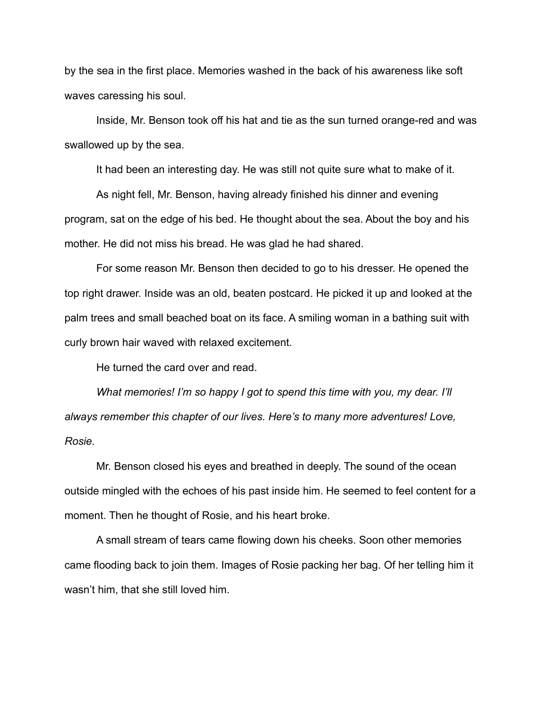by the sea in the first place. Memories washed in the back of his awareness like soft waves caressing his soul.

Inside, Mr. Benson took off his hat and tie as the sun turned orange-red and was swallowed up by the sea.

It had been an interesting day. He was still not quite sure what to make of it.

As night fell, Mr. Benson, having already finished his dinner and evening program, sat on the edge of his bed. He thought about the sea. About the boy and his mother. He did not miss his bread. He was glad he had shared.

For some reason Mr. Benson then decided to go to his dresser. He opened the top right drawer. Inside was an old, beaten postcard. He picked it up and looked at the palm trees and small beached boat on its face. A smiling woman in a bathing suit with curly brown hair waved with relaxed excitement.

He turned the card over and read.

*What memories! I'm so happy I got to spend this time with you, my dear. I'll always remember this chapter of our lives. Here's to many more adventures! Love, Rosie.*

Mr. Benson closed his eyes and breathed in deeply. The sound of the ocean outside mingled with the echoes of his past inside him. He seemed to feel content for a moment. Then he thought of Rosie, and his heart broke.

A small stream of tears came flowing down his cheeks. Soon other memories came flooding back to join them. Images of Rosie packing her bag. Of her telling him it wasn't him, that she still loved him.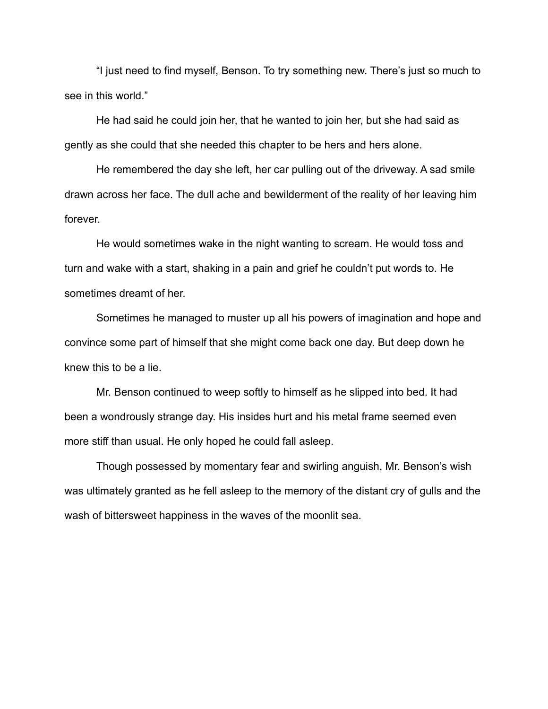"I just need to find myself, Benson. To try something new. There's just so much to see in this world."

He had said he could join her, that he wanted to join her, but she had said as gently as she could that she needed this chapter to be hers and hers alone.

He remembered the day she left, her car pulling out of the driveway. A sad smile drawn across her face. The dull ache and bewilderment of the reality of her leaving him forever.

He would sometimes wake in the night wanting to scream. He would toss and turn and wake with a start, shaking in a pain and grief he couldn't put words to. He sometimes dreamt of her.

Sometimes he managed to muster up all his powers of imagination and hope and convince some part of himself that she might come back one day. But deep down he knew this to be a lie.

Mr. Benson continued to weep softly to himself as he slipped into bed. It had been a wondrously strange day. His insides hurt and his metal frame seemed even more stiff than usual. He only hoped he could fall asleep.

Though possessed by momentary fear and swirling anguish, Mr. Benson's wish was ultimately granted as he fell asleep to the memory of the distant cry of gulls and the wash of bittersweet happiness in the waves of the moonlit sea.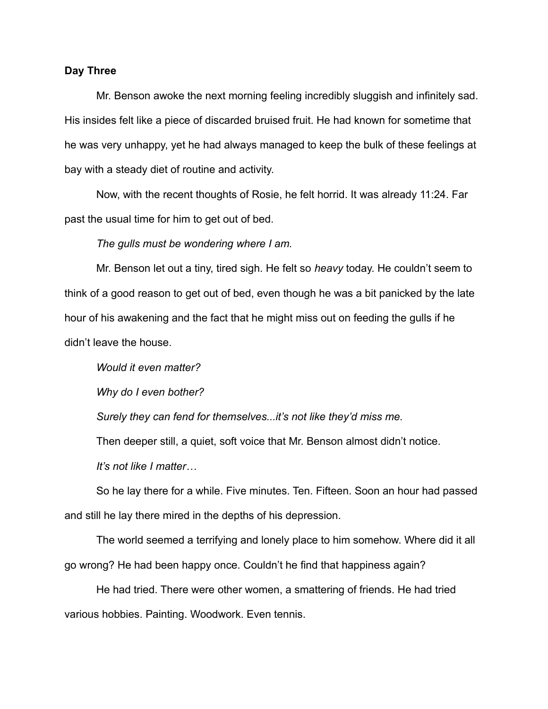### **Day Three**

Mr. Benson awoke the next morning feeling incredibly sluggish and infinitely sad. His insides felt like a piece of discarded bruised fruit. He had known for sometime that he was very unhappy, yet he had always managed to keep the bulk of these feelings at bay with a steady diet of routine and activity.

Now, with the recent thoughts of Rosie, he felt horrid. It was already 11:24. Far past the usual time for him to get out of bed.

*The gulls must be wondering where I am.*

Mr. Benson let out a tiny, tired sigh. He felt so *heavy* today. He couldn't seem to think of a good reason to get out of bed, even though he was a bit panicked by the late hour of his awakening and the fact that he might miss out on feeding the gulls if he didn't leave the house.

*Would it even matter?*

*Why do I even bother?*

*Surely they can fend for themselves...it's not like they'd miss me.* 

Then deeper still, a quiet, soft voice that Mr. Benson almost didn't notice.

*It's not like I matter…*

So he lay there for a while. Five minutes. Ten. Fifteen. Soon an hour had passed and still he lay there mired in the depths of his depression.

The world seemed a terrifying and lonely place to him somehow. Where did it all go wrong? He had been happy once. Couldn't he find that happiness again?

He had tried. There were other women, a smattering of friends. He had tried various hobbies. Painting. Woodwork. Even tennis.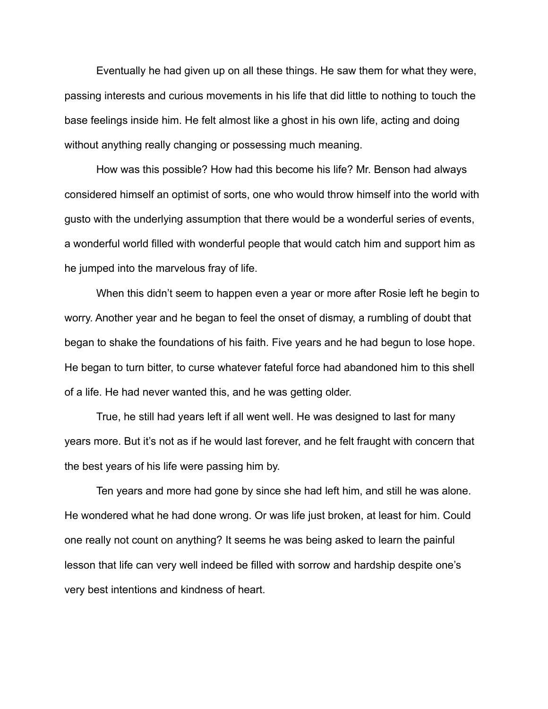Eventually he had given up on all these things. He saw them for what they were, passing interests and curious movements in his life that did little to nothing to touch the base feelings inside him. He felt almost like a ghost in his own life, acting and doing without anything really changing or possessing much meaning.

How was this possible? How had this become his life? Mr. Benson had always considered himself an optimist of sorts, one who would throw himself into the world with gusto with the underlying assumption that there would be a wonderful series of events, a wonderful world filled with wonderful people that would catch him and support him as he jumped into the marvelous fray of life.

When this didn't seem to happen even a year or more after Rosie left he begin to worry. Another year and he began to feel the onset of dismay, a rumbling of doubt that began to shake the foundations of his faith. Five years and he had begun to lose hope. He began to turn bitter, to curse whatever fateful force had abandoned him to this shell of a life. He had never wanted this, and he was getting older.

True, he still had years left if all went well. He was designed to last for many years more. But it's not as if he would last forever, and he felt fraught with concern that the best years of his life were passing him by.

Ten years and more had gone by since she had left him, and still he was alone. He wondered what he had done wrong. Or was life just broken, at least for him. Could one really not count on anything? It seems he was being asked to learn the painful lesson that life can very well indeed be filled with sorrow and hardship despite one's very best intentions and kindness of heart.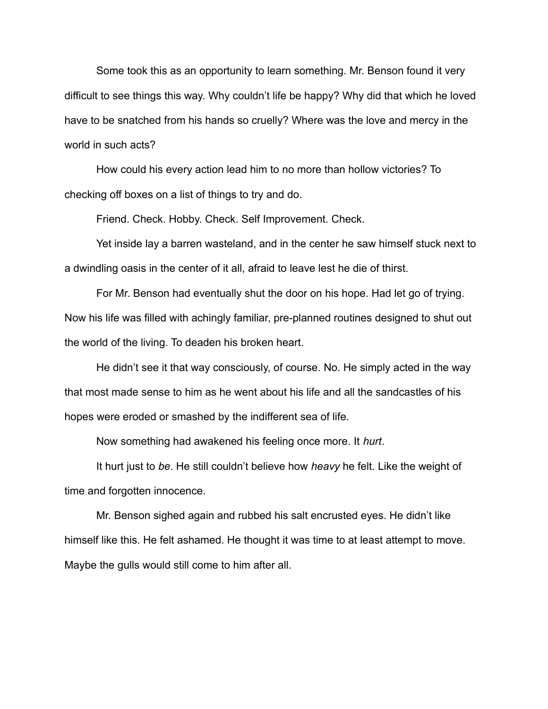Some took this as an opportunity to learn something. Mr. Benson found it very difficult to see things this way. Why couldn't life be happy? Why did that which he loved have to be snatched from his hands so cruelly? Where was the love and mercy in the world in such acts?

How could his every action lead him to no more than hollow victories? To checking off boxes on a list of things to try and do.

Friend. Check. Hobby. Check. Self Improvement. Check.

Yet inside lay a barren wasteland, and in the center he saw himself stuck next to a dwindling oasis in the center of it all, afraid to leave lest he die of thirst.

For Mr. Benson had eventually shut the door on his hope. Had let go of trying. Now his life was filled with achingly familiar, pre-planned routines designed to shut out the world of the living. To deaden his broken heart.

He didn't see it that way consciously, of course. No. He simply acted in the way that most made sense to him as he went about his life and all the sandcastles of his hopes were eroded or smashed by the indifferent sea of life.

Now something had awakened his feeling once more. It *hurt*.

It hurt just to *be*. He still couldn't believe how *heavy* he felt. Like the weight of time and forgotten innocence.

Mr. Benson sighed again and rubbed his salt encrusted eyes. He didn't like himself like this. He felt ashamed. He thought it was time to at least attempt to move. Maybe the gulls would still come to him after all.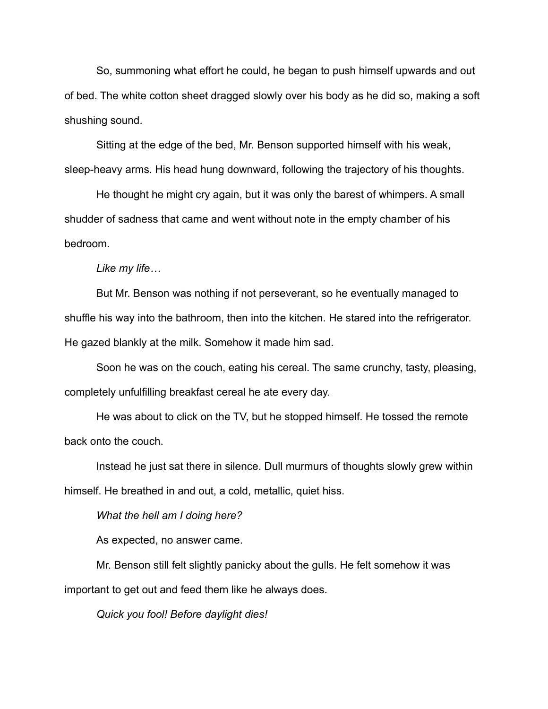So, summoning what effort he could, he began to push himself upwards and out of bed. The white cotton sheet dragged slowly over his body as he did so, making a soft shushing sound.

Sitting at the edge of the bed, Mr. Benson supported himself with his weak, sleep-heavy arms. His head hung downward, following the trajectory of his thoughts.

He thought he might cry again, but it was only the barest of whimpers. A small shudder of sadness that came and went without note in the empty chamber of his bedroom.

*Like my life…*

But Mr. Benson was nothing if not perseverant, so he eventually managed to shuffle his way into the bathroom, then into the kitchen. He stared into the refrigerator. He gazed blankly at the milk. Somehow it made him sad.

Soon he was on the couch, eating his cereal. The same crunchy, tasty, pleasing, completely unfulfilling breakfast cereal he ate every day.

He was about to click on the TV, but he stopped himself. He tossed the remote back onto the couch.

Instead he just sat there in silence. Dull murmurs of thoughts slowly grew within himself. He breathed in and out, a cold, metallic, quiet hiss.

*What the hell am I doing here?*

As expected, no answer came.

Mr. Benson still felt slightly panicky about the gulls. He felt somehow it was important to get out and feed them like he always does.

*Quick you fool! Before daylight dies!*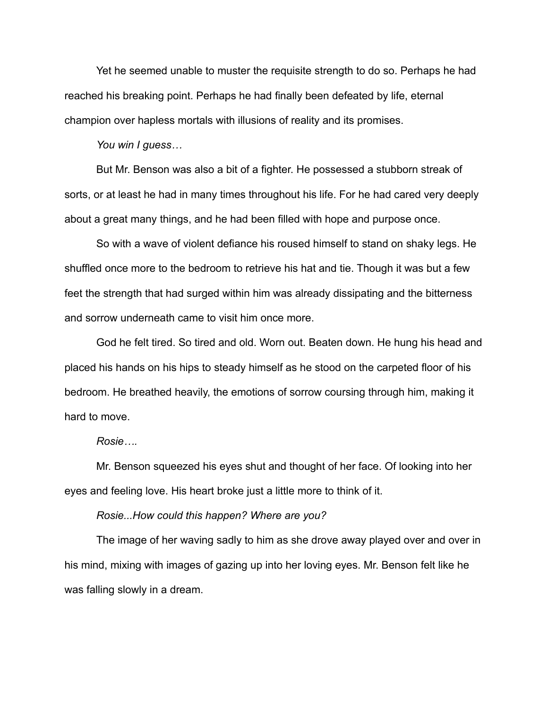Yet he seemed unable to muster the requisite strength to do so. Perhaps he had reached his breaking point. Perhaps he had finally been defeated by life, eternal champion over hapless mortals with illusions of reality and its promises.

*You win I guess…*

But Mr. Benson was also a bit of a fighter. He possessed a stubborn streak of sorts, or at least he had in many times throughout his life. For he had cared very deeply about a great many things, and he had been filled with hope and purpose once.

So with a wave of violent defiance his roused himself to stand on shaky legs. He shuffled once more to the bedroom to retrieve his hat and tie. Though it was but a few feet the strength that had surged within him was already dissipating and the bitterness and sorrow underneath came to visit him once more.

God he felt tired. So tired and old. Worn out. Beaten down. He hung his head and placed his hands on his hips to steady himself as he stood on the carpeted floor of his bedroom. He breathed heavily, the emotions of sorrow coursing through him, making it hard to move.

#### *Rosie….*

Mr. Benson squeezed his eyes shut and thought of her face. Of looking into her eyes and feeling love. His heart broke just a little more to think of it.

*Rosie...How could this happen? Where are you?*

The image of her waving sadly to him as she drove away played over and over in his mind, mixing with images of gazing up into her loving eyes. Mr. Benson felt like he was falling slowly in a dream.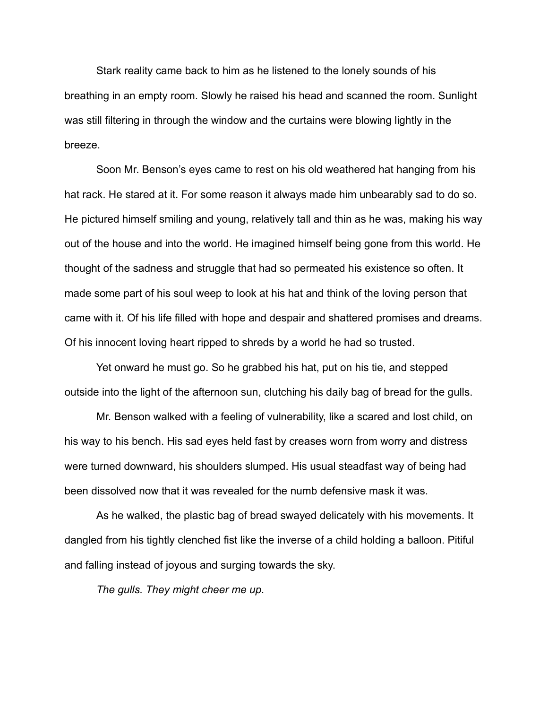Stark reality came back to him as he listened to the lonely sounds of his breathing in an empty room. Slowly he raised his head and scanned the room. Sunlight was still filtering in through the window and the curtains were blowing lightly in the breeze.

Soon Mr. Benson's eyes came to rest on his old weathered hat hanging from his hat rack. He stared at it. For some reason it always made him unbearably sad to do so. He pictured himself smiling and young, relatively tall and thin as he was, making his way out of the house and into the world. He imagined himself being gone from this world. He thought of the sadness and struggle that had so permeated his existence so often. It made some part of his soul weep to look at his hat and think of the loving person that came with it. Of his life filled with hope and despair and shattered promises and dreams. Of his innocent loving heart ripped to shreds by a world he had so trusted.

Yet onward he must go. So he grabbed his hat, put on his tie, and stepped outside into the light of the afternoon sun, clutching his daily bag of bread for the gulls.

Mr. Benson walked with a feeling of vulnerability, like a scared and lost child, on his way to his bench. His sad eyes held fast by creases worn from worry and distress were turned downward, his shoulders slumped. His usual steadfast way of being had been dissolved now that it was revealed for the numb defensive mask it was.

As he walked, the plastic bag of bread swayed delicately with his movements. It dangled from his tightly clenched fist like the inverse of a child holding a balloon. Pitiful and falling instead of joyous and surging towards the sky.

*The gulls. They might cheer me up.*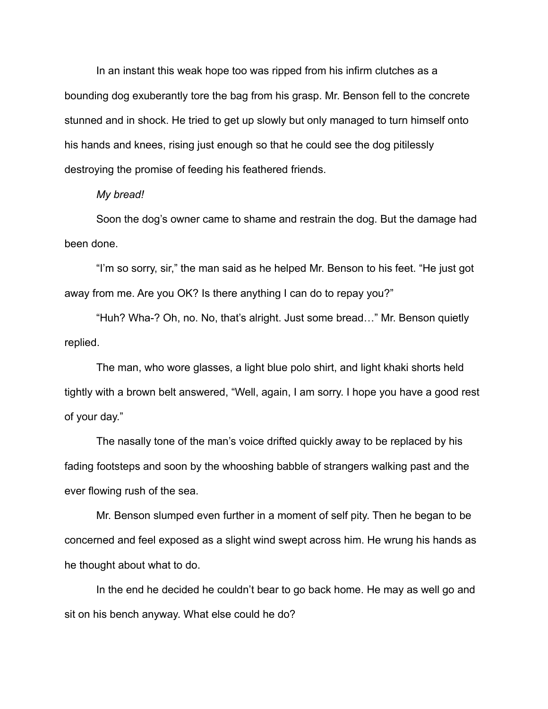In an instant this weak hope too was ripped from his infirm clutches as a bounding dog exuberantly tore the bag from his grasp. Mr. Benson fell to the concrete stunned and in shock. He tried to get up slowly but only managed to turn himself onto his hands and knees, rising just enough so that he could see the dog pitilessly destroying the promise of feeding his feathered friends.

#### *My bread!*

Soon the dog's owner came to shame and restrain the dog. But the damage had been done.

"I'm so sorry, sir," the man said as he helped Mr. Benson to his feet. "He just got away from me. Are you OK? Is there anything I can do to repay you?"

"Huh? Wha-? Oh, no. No, that's alright. Just some bread…" Mr. Benson quietly replied.

The man, who wore glasses, a light blue polo shirt, and light khaki shorts held tightly with a brown belt answered, "Well, again, I am sorry. I hope you have a good rest of your day."

The nasally tone of the man's voice drifted quickly away to be replaced by his fading footsteps and soon by the whooshing babble of strangers walking past and the ever flowing rush of the sea.

Mr. Benson slumped even further in a moment of self pity. Then he began to be concerned and feel exposed as a slight wind swept across him. He wrung his hands as he thought about what to do.

In the end he decided he couldn't bear to go back home. He may as well go and sit on his bench anyway. What else could he do?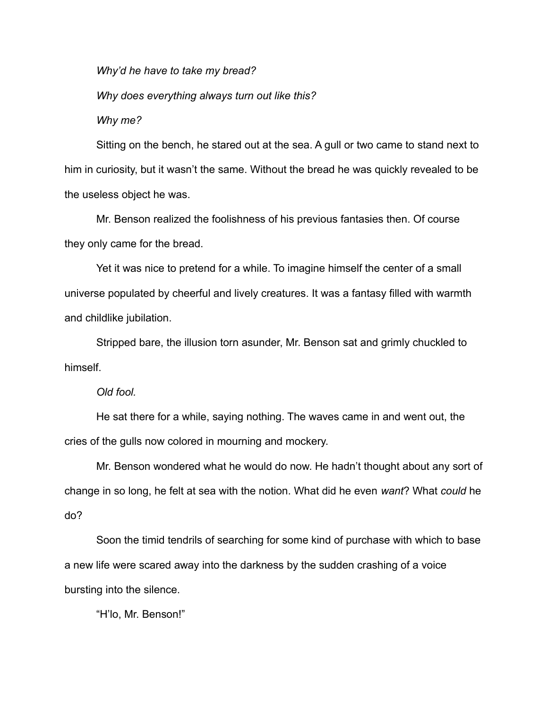*Why'd he have to take my bread?*

*Why does everything always turn out like this?*

*Why me?*

Sitting on the bench, he stared out at the sea. A gull or two came to stand next to him in curiosity, but it wasn't the same. Without the bread he was quickly revealed to be the useless object he was.

Mr. Benson realized the foolishness of his previous fantasies then. Of course they only came for the bread.

Yet it was nice to pretend for a while. To imagine himself the center of a small universe populated by cheerful and lively creatures. It was a fantasy filled with warmth and childlike jubilation.

Stripped bare, the illusion torn asunder, Mr. Benson sat and grimly chuckled to himself.

*Old fool.* 

He sat there for a while, saying nothing. The waves came in and went out, the cries of the gulls now colored in mourning and mockery.

Mr. Benson wondered what he would do now. He hadn't thought about any sort of change in so long, he felt at sea with the notion. What did he even *want*? What *could* he do?

Soon the timid tendrils of searching for some kind of purchase with which to base a new life were scared away into the darkness by the sudden crashing of a voice bursting into the silence.

"H'lo, Mr. Benson!"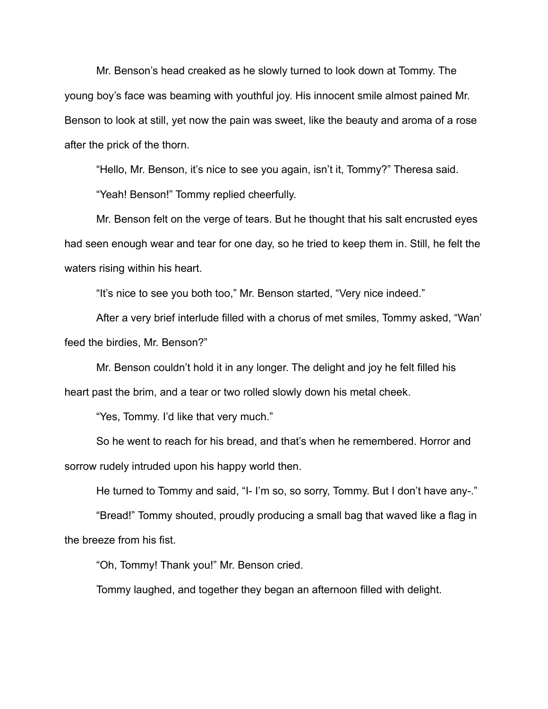Mr. Benson's head creaked as he slowly turned to look down at Tommy. The young boy's face was beaming with youthful joy. His innocent smile almost pained Mr. Benson to look at still, yet now the pain was sweet, like the beauty and aroma of a rose after the prick of the thorn.

"Hello, Mr. Benson, it's nice to see you again, isn't it, Tommy?" Theresa said.

"Yeah! Benson!" Tommy replied cheerfully.

Mr. Benson felt on the verge of tears. But he thought that his salt encrusted eyes had seen enough wear and tear for one day, so he tried to keep them in. Still, he felt the waters rising within his heart.

"It's nice to see you both too," Mr. Benson started, "Very nice indeed."

After a very brief interlude filled with a chorus of met smiles, Tommy asked, "Wan' feed the birdies, Mr. Benson?"

Mr. Benson couldn't hold it in any longer. The delight and joy he felt filled his heart past the brim, and a tear or two rolled slowly down his metal cheek.

"Yes, Tommy. I'd like that very much."

So he went to reach for his bread, and that's when he remembered. Horror and sorrow rudely intruded upon his happy world then.

He turned to Tommy and said, "I- I'm so, so sorry, Tommy. But I don't have any-."

"Bread!" Tommy shouted, proudly producing a small bag that waved like a flag in the breeze from his fist.

"Oh, Tommy! Thank you!" Mr. Benson cried.

Tommy laughed, and together they began an afternoon filled with delight.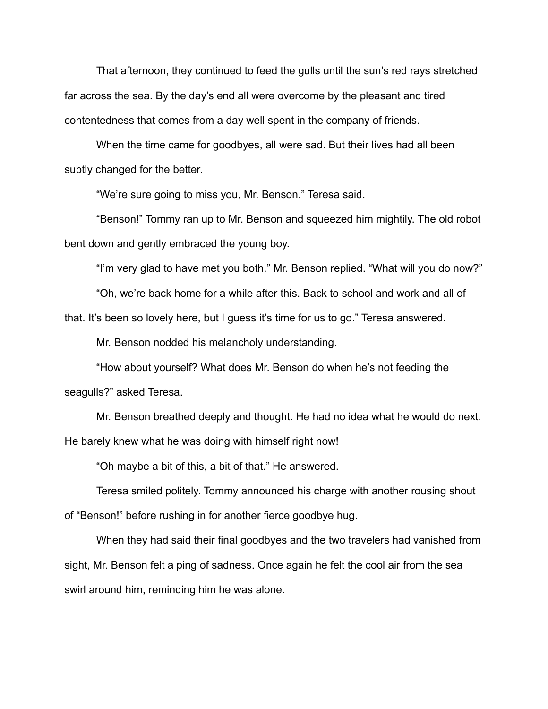That afternoon, they continued to feed the gulls until the sun's red rays stretched far across the sea. By the day's end all were overcome by the pleasant and tired contentedness that comes from a day well spent in the company of friends.

When the time came for goodbyes, all were sad. But their lives had all been subtly changed for the better.

"We're sure going to miss you, Mr. Benson." Teresa said.

"Benson!" Tommy ran up to Mr. Benson and squeezed him mightily. The old robot bent down and gently embraced the young boy.

"I'm very glad to have met you both." Mr. Benson replied. "What will you do now?"

"Oh, we're back home for a while after this. Back to school and work and all of

that. It's been so lovely here, but I guess it's time for us to go." Teresa answered.

Mr. Benson nodded his melancholy understanding.

"How about yourself? What does Mr. Benson do when he's not feeding the seagulls?" asked Teresa.

Mr. Benson breathed deeply and thought. He had no idea what he would do next. He barely knew what he was doing with himself right now!

"Oh maybe a bit of this, a bit of that." He answered.

Teresa smiled politely. Tommy announced his charge with another rousing shout of "Benson!" before rushing in for another fierce goodbye hug.

When they had said their final goodbyes and the two travelers had vanished from sight, Mr. Benson felt a ping of sadness. Once again he felt the cool air from the sea swirl around him, reminding him he was alone.